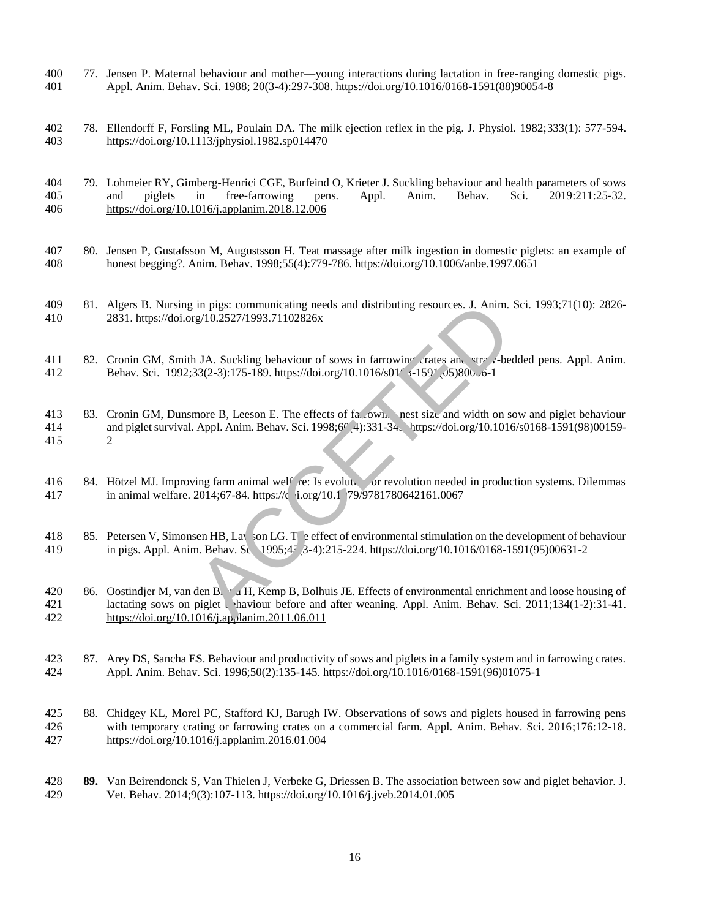- 77. Jensen P. Maternal behaviour and mother—young interactions during lactation in free-ranging domestic pigs. Appl. Anim. Behav. Sci. 1988; 20(3-4):297-308. https://doi.org/10.1016/0168-1591(88)90054-8
- 78. Ellendorff F, Forsling ML, Poulain DA. The milk ejection reflex in the pig. J. Physiol. 1982;333(1): 577-594. https://doi.org/10.1113/jphysiol.1982.sp014470
- 79. Lohmeier RY, Gimberg-Henrici CGE, Burfeind O, Krieter J. Suckling behaviour and health parameters of sows and piglets in free-farrowing pens. Appl. Anim. Behav. Sci. 2019:211:25-32. <https://doi.org/10.1016/j.applanim.2018.12.006>
- 80. Jensen P, Gustafsson M, Augustsson H. Teat massage after milk ingestion in domestic piglets: an example of honest begging?. Anim. Behav. 1998;55(4):779-786. https://doi.org/10.1006/anbe.1997.0651
- 81. Algers B. Nursing in pigs: communicating needs and distributing resources. J. Anim. Sci. 1993;71(10): 2826- 2831. https://doi.org/10.2527/1993.71102826x
- 411 82. Cronin GM, Smith JA. Suckling behaviour of sows in farrowing crates and straw-bedded pens. Appl. Anim. 412 Behav. Sci. 1992;33(2-3):175-189. https://doi.org/10.1016/s01 3-159 (05)80006-1
- 413 83. Cronin GM, Dunsmore B, Leeson E. The effects of farrowing nest size and width on sow and piglet behaviour 414 and piglet survival. Appl. Anim. Behav. Sci. 1998;6 (4):331-34. https://doi.org/10.1016/s0168-1591(98)00159- 2 in pigs: communicating needs and distributing resources. J. Anim.<br>
rg/10.2527/1993.71102826x<br>
1 JA. Suckling behaviour of sows in farrowing crates and streetly-be-<br>
33(2-3):175-189. https://doi.org/10.1016/s01 x-159 (05)8
- 416 84. Hötzel MJ. Improving farm animal wel are: Is evolution or revolution needed in production systems. Dilemmas 417 in animal welfare. 2014;67-84. https://doi.org/10.1 79/9781780642161.0067
- 418 85. Petersen V, Simonsen HB, Lawson LG. 1 e effect of environmental stimulation on the development of behaviour in pigs. Appl. Anim. Behav. Sci. 1995;45(3-4):215-224. https://doi.org/10.1016/0168-1591(95)00631-2
- 420 86. Oostindjer M, van den Brand H, Kemp B, Bolhuis JE. Effects of environmental enrichment and loose housing of 421 lactating sows on piglet behaviour before and after weaning. Appl. Anim. Behav. Sci. 2011;134(1-2):31-41. <https://doi.org/10.1016/j.applanim.2011.06.011>
- 87. Arey DS, Sancha ES. Behaviour and productivity of sows and piglets in a family system and in farrowing crates. Appl. Anim. Behav. Sci. 1996;50(2):135-145[. https://doi.org/10.1016/0168-1591\(96\)01075-1](https://doi.org/10.1016/0168-1591(96)01075-1)
- 88. Chidgey KL, Morel PC, Stafford KJ, Barugh IW. Observations of sows and piglets housed in farrowing pens with temporary crating or farrowing crates on a commercial farm. Appl. Anim. Behav. Sci. 2016;176:12-18. https://doi.org/10.1016/j.applanim.2016.01.004
- **89.** Van Beirendonck S, Van Thielen J, Verbeke G, Driessen B. The association between sow and piglet behavior. J. Vet. Behav. 2014;9(3):107-113[. https://doi.org/10.1016/j.jveb.2014.01.005](https://doi.org/10.1016/j.jveb.2014.01.005)